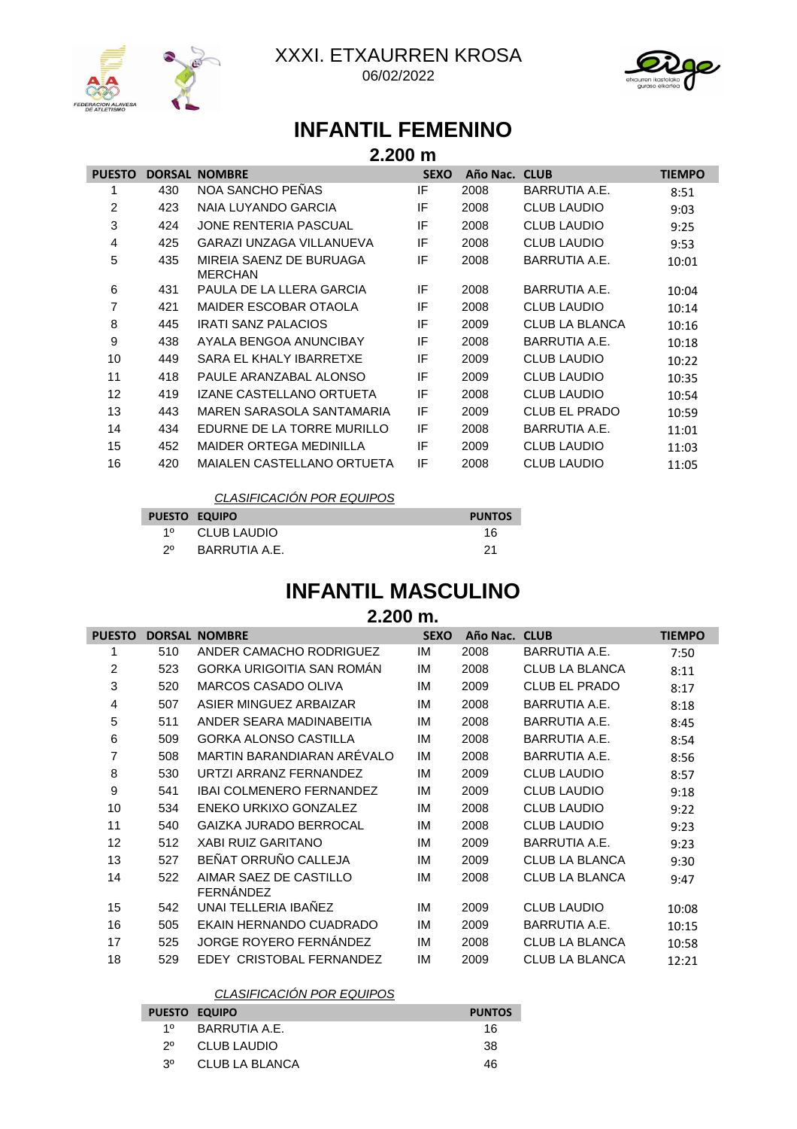

XXXI. ETXAURREN KROSA 06/02/2022



# **INFANTIL FEMENINO**

| 2.200 m       |               |                                           |             |               |                      |               |  |
|---------------|---------------|-------------------------------------------|-------------|---------------|----------------------|---------------|--|
| <b>PUESTO</b> | <b>DORSAL</b> | <b>NOMBRE</b>                             | <b>SEXO</b> | Año Nac. CLUB |                      | <b>TIEMPO</b> |  |
|               | 430           | NOA SANCHO PEÑAS                          | IF          | 2008          | <b>BARRUTIA A.E.</b> | 8:51          |  |
| 2             | 423           | NAIA LUYANDO GARCIA                       | IF          | 2008          | <b>CLUB LAUDIO</b>   | 9:03          |  |
| 3             | 424           | JONE RENTERIA PASCUAL                     | IF          | 2008          | <b>CLUB LAUDIO</b>   | 9:25          |  |
| 4             | 425           | <b>GARAZI UNZAGA VILLANUEVA</b>           | IF          | 2008          | <b>CLUB LAUDIO</b>   | 9:53          |  |
| 5             | 435           | MIREIA SAENZ DE BURUAGA<br><b>MERCHAN</b> | IF          | 2008          | <b>BARRUTIA A.E.</b> | 10:01         |  |
| 6             | 431           | PAULA DE LA LLERA GARCIA                  | IF          | 2008          | <b>BARRUTIA A.E.</b> | 10:04         |  |
| 7             | 421           | MAIDER ESCOBAR OTAOLA                     | IF          | 2008          | <b>CLUB LAUDIO</b>   | 10:14         |  |
| 8             | 445           | <b>IRATI SANZ PALACIOS</b>                | IF          | 2009          | CLUB LA BLANCA       | 10:16         |  |
| 9             | 438           | AYALA BENGOA ANUNCIBAY                    | IF          | 2008          | <b>BARRUTIA A.E.</b> | 10:18         |  |
| 10            | 449           | SARA EL KHALY IBARRETXE                   | ΙF          | 2009          | <b>CLUB LAUDIO</b>   | 10:22         |  |
| 11            | 418           | PAULE ARANZABAL ALONSO                    | IF          | 2009          | <b>CLUB LAUDIO</b>   | 10:35         |  |
| 12            | 419           | IZANE CASTELLANO ORTUETA                  | ΙF          | 2008          | <b>CLUB LAUDIO</b>   | 10:54         |  |
| 13            | 443           | MAREN SARASOLA SANTAMARIA                 | IF          | 2009          | <b>CLUB EL PRADO</b> | 10:59         |  |
| 14            | 434           | EDURNE DE LA TORRE MURILLO                | IF          | 2008          | <b>BARRUTIA A.E.</b> | 11:01         |  |
| 15            | 452           | <b>MAIDER ORTEGA MEDINILLA</b>            | IF          | 2009          | <b>CLUB LAUDIO</b>   | 11:03         |  |
| 16            | 420           | <b>MAIALEN CASTELLANO ORTUETA</b>         | ΙF          | 2008          | <b>CLUB LAUDIO</b>   | 11:05         |  |

CLASIFICACIÓN POR EQUIPOS

|    | <b>PUESTO EQUIPO</b> | <b>PUNTOS</b> |
|----|----------------------|---------------|
| 10 | CLUB LAUDIO          | 16            |
| 20 | BARRUTIA A.E.        |               |

## **INFANTIL MASCULINO**

### **2.200 m.**

| <b>PUESTO</b>  | <b>DORSAL</b> | <b>NOMBRE</b>                       | <b>SEXO</b> | Año Nac. CLUB |                       | <b>TIEMPO</b> |
|----------------|---------------|-------------------------------------|-------------|---------------|-----------------------|---------------|
| 1              | 510           | ANDER CAMACHO RODRIGUEZ             | IM          | 2008          | <b>BARRUTIA A.E.</b>  | 7:50          |
| $\overline{2}$ | 523           | GORKA URIGOITIA SAN ROMÂN           | IM          | 2008          | <b>CLUB LA BLANCA</b> | 8:11          |
| 3              | 520           | MARCOS CASADO OLIVA                 | IМ          | 2009          | <b>CLUB EL PRADO</b>  | 8:17          |
| 4              | 507           | ASIER MINGUEZ ARBAIZAR              | IМ          | 2008          | <b>BARRUTIA A.E.</b>  | 8:18          |
| 5              | 511           | ANDER SEARA MADINABEITIA            | IM          | 2008          | <b>BARRUTIA A.E.</b>  | 8:45          |
| 6              | 509           | <b>GORKA ALONSO CASTILLA</b>        | IM          | 2008          | <b>BARRUTIA A.E.</b>  | 8:54          |
| 7              | 508           | MARTIN BARANDIARAN ARÉVALO          | IМ          | 2008          | <b>BARRUTIA A.E.</b>  | 8:56          |
| 8              | 530           | URTZI ARRANZ FERNANDEZ              | IM          | 2009          | <b>CLUB LAUDIO</b>    | 8:57          |
| 9              | 541           | <b>IBAI COLMENERO FERNANDEZ</b>     | IМ          | 2009          | <b>CLUB LAUDIO</b>    | 9:18          |
| 10             | 534           | ENEKO URKIXO GONZALEZ               | IM          | 2008          | <b>CLUB LAUDIO</b>    | 9:22          |
| 11             | 540           | GAIZKA JURADO BERROCAL              | IМ          | 2008          | <b>CLUB LAUDIO</b>    | 9:23          |
| 12             | 512           | <b>XABI RUIZ GARITANO</b>           | IM          | 2009          | <b>BARRUTIA A.E.</b>  | 9:23          |
| 13             | 527           | BEÑAT ORRUÑO CALLEJA                | IМ          | 2009          | <b>CLUB LA BLANCA</b> | 9:30          |
| 14             | 522           | AIMAR SAEZ DE CASTILLO<br>FERNÁNDEZ | IМ          | 2008          | <b>CLUB LA BLANCA</b> | 9:47          |
| 15             | 542           | UNAI TELLERIA IBAÑEZ                | IM          | 2009          | <b>CLUB LAUDIO</b>    | 10:08         |
| 16             | 505           | EKAIN HERNANDO CUADRADO             | IМ          | 2009          | <b>BARRUTIA A.E.</b>  | 10:15         |
| 17             | 525           | JORGE ROYERO FERNÁNDEZ              | IM          | 2008          | <b>CLUB LA BLANCA</b> | 10:58         |
| 18             | 529           | EDEY CRISTOBAL FERNANDEZ            | IM          | 2009          | <b>CLUB LA BLANCA</b> | 12:21         |

### CLASIFICACIÓN POR EQUIPOS

|     | <b>PUESTO EQUIPO</b> | <b>PUNTOS</b> |
|-----|----------------------|---------------|
| 10  | BARRUTIA A.E.        | 16            |
| 20  | CLUB LAUDIO          | 38            |
| 3٥. | CLUB LA BLANCA       | 46            |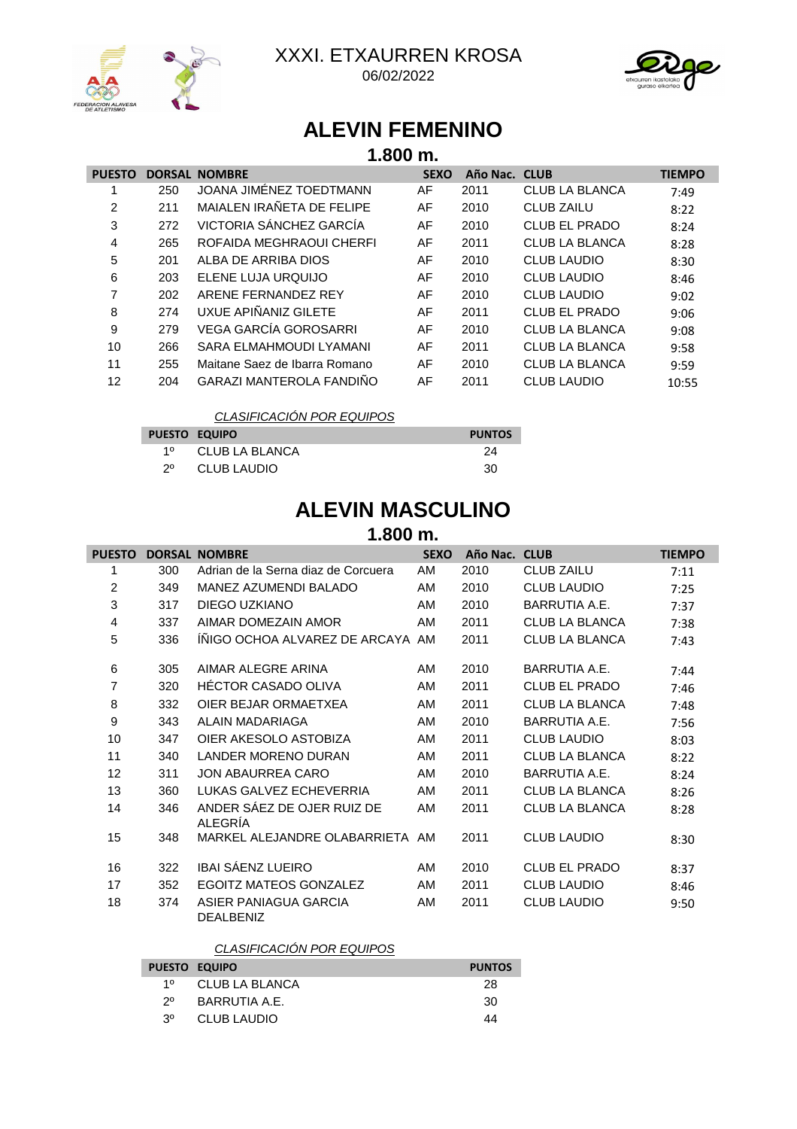



# **ALEVIN FEMENINO**

|               | $1.800$ m.    |                                 |             |               |                       |               |  |
|---------------|---------------|---------------------------------|-------------|---------------|-----------------------|---------------|--|
| <b>PUESTO</b> | <b>DORSAL</b> | <b>NOMBRE</b>                   | <b>SEXO</b> | Año Nac. CLUB |                       | <b>TIEMPO</b> |  |
|               | 250           | JOANA JIMÉNEZ TOEDTMANN         | AF          | 2011          | CLUB LA BLANCA        | 7:49          |  |
| 2             | 211           | MAIALEN IRAÑETA DE FELIPE       | AF          | 2010          | <b>CLUB ZAILU</b>     | 8:22          |  |
| 3             | 272           | VICTORIA SÁNCHEZ GARCÍA         | AF          | 2010          | <b>CLUB EL PRADO</b>  | 8:24          |  |
| 4             | 265           | ROFAIDA MEGHRAOUI CHERFI        | AF          | 2011          | <b>CLUB LA BLANCA</b> | 8:28          |  |
| 5             | 201           | ALBA DE ARRIBA DIOS             | AF          | 2010          | <b>CLUB LAUDIO</b>    | 8:30          |  |
| 6             | 203           | ELENE LUJA URQUIJO              | AF          | 2010          | <b>CLUB LAUDIO</b>    | 8:46          |  |
| 7             | 202           | ARENE FERNANDEZ REY             | AF          | 2010          | <b>CLUB LAUDIO</b>    | 9:02          |  |
| 8             | 274           | UXUE APIÑANIZ GILETE            | AF          | 2011          | <b>CLUB EL PRADO</b>  | 9:06          |  |
| 9             | 279           | VEGA GARCÍA GOROSARRI           | AF          | 2010          | CLUB LA BLANCA        | 9:08          |  |
| 10            | 266           | SARA ELMAHMOUDI LYAMANI         | AF          | 2011          | <b>CLUB LA BLANCA</b> | 9:58          |  |
| 11            | 255           | Maitane Saez de Ibarra Romano   | AF          | 2010          | <b>CLUB LA BLANCA</b> | 9:59          |  |
| 12            | 204           | <b>GARAZI MANTEROLA FANDIÑO</b> | AF          | 2011          | <b>CLUB LAUDIO</b>    | 10:55         |  |

### CLASIFICACIÓN POR EQUIPOS

| <b>PUESTO EQUIPO</b> |                | <b>PUNTOS</b> |
|----------------------|----------------|---------------|
| 10                   | CLUB LA BLANCA | 24            |
| $2^{\circ}$          | CLUB LAUDIO    | 30            |

# **ALEVIN MASCULINO**

## **1.800 m.**

| <b>PUESTO</b>  |     | <b>DORSAL NOMBRE</b>                      | <b>SEXO</b> | Año Nac. CLUB |                       | <b>TIEMPO</b> |
|----------------|-----|-------------------------------------------|-------------|---------------|-----------------------|---------------|
| 1              | 300 | Adrian de la Serna diaz de Corcuera       | AM          | 2010          | <b>CLUB ZAILU</b>     | 7:11          |
| $\overline{2}$ | 349 | MANEZ AZUMENDI BALADO                     | AM          | 2010          | <b>CLUB LAUDIO</b>    | 7:25          |
| 3              | 317 | DIEGO UZKIANO                             | AM          | 2010          | <b>BARRUTIA A.E.</b>  | 7:37          |
| 4              | 337 | AIMAR DOMEZAIN AMOR                       | AM          | 2011          | CLUB LA BLANCA        | 7:38          |
| 5              | 336 | INIGO OCHOA ALVAREZ DE ARCAYA AM          |             | 2011          | <b>CLUB LA BLANCA</b> | 7:43          |
| 6              | 305 | AIMAR ALEGRE ARINA                        | AM          | 2010          | BARRUTIA A.E.         | 7:44          |
| 7              | 320 | <b>HECTOR CASADO OLIVA</b>                | AM          | 2011          | <b>CLUB EL PRADO</b>  | 7:46          |
| 8              | 332 | OIER BEJAR ORMAETXEA                      | AM          | 2011          | CLUB LA BLANCA        | 7:48          |
| 9              | 343 | ALAIN MADARIAGA                           | AM          | 2010          | <b>BARRUTIA A.E.</b>  | 7:56          |
| 10             | 347 | OIER AKESOLO ASTOBIZA                     | AM          | 2011          | <b>CLUB LAUDIO</b>    | 8:03          |
| 11             | 340 | <b>LANDER MORENO DURAN</b>                | AM          | 2011          | CLUB LA BLANCA        | 8:22          |
| 12             | 311 | JON ABAURREA CARO                         | AM          | 2010          | <b>BARRUTIA A.E.</b>  | 8:24          |
| 13             | 360 | <b>LUKAS GALVEZ ECHEVERRIA</b>            | AM          | 2011          | CLUB LA BLANCA        | 8:26          |
| 14             | 346 | ANDER SÁEZ DE OJER RUIZ DE<br>ALEGRÍA     | AM          | 2011          | <b>CLUB LA BLANCA</b> | 8:28          |
| 15             | 348 | MARKEL ALEJANDRE OLABARRIETA AM           |             | 2011          | <b>CLUB LAUDIO</b>    | 8:30          |
| 16             | 322 | <b>IBAI SÁENZ LUEIRO</b>                  | AM          | 2010          | <b>CLUB EL PRADO</b>  | 8:37          |
| 17             | 352 | EGOITZ MATEOS GONZALEZ                    | AM          | 2011          | <b>CLUB LAUDIO</b>    | 8:46          |
| 18             | 374 | ASIER PANIAGUA GARCIA<br><b>DEALBENIZ</b> | AM          | 2011          | <b>CLUB LAUDIO</b>    | 9:50          |

### CLASIFICACIÓN POR EQUIPOS

|    | <b>PUESTO EQUIPO</b> | <b>PUNTOS</b> |
|----|----------------------|---------------|
| 10 | CLUB LA BLANCA       | 28            |
| 20 | BARRUTIA A.E.        | 30            |
| 30 | CLUB LAUDIO          | 44            |